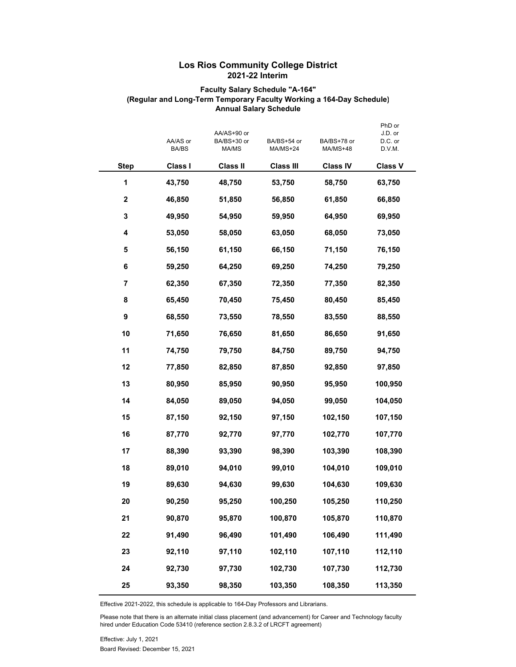## **Los Rios Community College District 2021-22 Interim**

## **Faculty Salary Schedule "A-164" (Regular and Long-Term Temporary Faculty Working a 164-Day Schedule) Annual Salary Schedule**

|             | AA/AS or<br>BA/BS | AA/AS+90 or<br>BA/BS+30 or<br>MA/MS |                  | BA/BS+78 or<br>MA/MS+48 | PhD or<br>J.D. or<br>D.C. or<br>D.V.M. |  |  |
|-------------|-------------------|-------------------------------------|------------------|-------------------------|----------------------------------------|--|--|
| <b>Step</b> | Class I           | <b>Class II</b>                     | <b>Class III</b> | <b>Class IV</b>         | <b>Class V</b>                         |  |  |
| 1           | 43,750            | 48,750                              | 53,750           | 58,750                  | 63,750                                 |  |  |
| $\mathbf 2$ | 46,850            | 51,850                              | 56,850           | 61,850                  | 66,850                                 |  |  |
| 3           | 49,950            | 54,950                              | 59,950           | 64,950                  | 69,950                                 |  |  |
| 4           | 53,050            | 58,050                              | 63,050           | 68,050                  | 73,050                                 |  |  |
| 5           | 56,150            | 61,150                              | 66,150           | 71,150                  | 76,150                                 |  |  |
| 6           | 59,250            | 64,250                              | 69,250           | 74,250                  | 79,250                                 |  |  |
| 7           | 62,350            | 67,350                              | 72,350           | 77,350                  | 82,350                                 |  |  |
| 8           | 65,450            | 70,450                              | 75,450           | 80,450                  | 85,450                                 |  |  |
| 9           | 68,550            | 73,550                              | 78,550           | 83,550                  | 88,550                                 |  |  |
| 10          | 71,650            | 76,650                              | 81,650           | 86,650                  | 91,650                                 |  |  |
| 11          | 74,750            | 79,750                              | 84,750           | 89,750                  | 94,750                                 |  |  |
| 12          | 77,850            | 82,850                              | 87,850           | 92,850                  | 97,850                                 |  |  |
| 13          | 80,950            | 85,950                              | 90,950           | 95,950                  | 100,950                                |  |  |
| 14          | 84,050            | 89,050                              | 94,050           | 99,050                  | 104,050                                |  |  |
| 15          | 87,150            | 92,150                              | 97,150           | 102,150                 | 107,150                                |  |  |
| 16          | 87,770            | 92,770                              | 97,770           | 102,770                 | 107,770                                |  |  |
| 17          | 88,390            | 93,390                              | 98,390           | 103,390                 | 108,390                                |  |  |
| 18          | 89,010            | 94,010                              | 99,010           | 104,010                 | 109,010                                |  |  |
| 19          | 89,630            | 94,630                              | 99,630           | 104,630                 | 109,630                                |  |  |
| 20          | 90,250            | 95,250                              | 100,250          | 105,250                 | 110,250                                |  |  |
| 21          | 90,870            | 95,870                              | 100,870          | 105,870                 | 110,870                                |  |  |
| 22          | 91,490            | 96,490                              | 101,490          | 106,490                 | 111,490                                |  |  |
| 23          | 92,110            | 97,110                              | 102,110          | 107,110                 | 112,110                                |  |  |
| 24          | 92,730            | 97,730                              | 102,730          | 107,730                 | 112,730                                |  |  |
| 25          | 93,350            | 98,350                              | 103,350          | 108,350                 | 113,350                                |  |  |

Effective 2021-2022, this schedule is applicable to 164-Day Professors and Librarians.

Please note that there is an alternate initial class placement (and advancement) for Career and Technology faculty hired under Education Code 53410 (reference section 2.8.3.2 of LRCFT agreement)